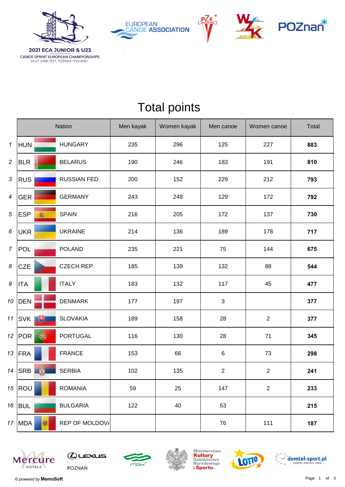

**CANOE SPRINT EUROPEAN CHAMPIONSHIPS**<br>24-27 JUNE 2021, POZNAN / POLAND







## Total points

|                     |                 | <b>Nation</b>   | Men kayak | Women kayak | Men canoe      | Women canoe    | Total |
|---------------------|-----------------|-----------------|-----------|-------------|----------------|----------------|-------|
| $\pmb{\mathcal{1}}$ | <b>HUN</b>      | <b>HUNGARY</b>  | 235       | 296         | 125            | 227            | 883   |
| $\sqrt{2}$          | <b>BLR</b>      | <b>BELARUS</b>  | 190       | 246         | 183            | 191            | 810   |
| $\sqrt{3}$          | <b>RUS</b>      | RUSSIAN FED.    | 200       | 152         | 229            | 212            | 793   |
| 4                   | <b>GER</b>      | <b>GERMANY</b>  | 243       | 248         | 129            | 172            | 792   |
| 5                   | <b>ESP</b><br>高 | <b>SPAIN</b>    | 216       | 205         | 172            | 137            | 730   |
| 6                   | <b>UKR</b>      | <b>UKRAINE</b>  | 214       | 136         | 189            | 178            | 717   |
| $\overline{7}$      | <b>POL</b>      | <b>POLAND</b>   | 235       | 221         | 75             | 144            | 675   |
| 8                   | <b>CZE</b>      | CZECH REP.      | 185       | 139         | 132            | 88             | 544   |
| 9                   | <b>ITA</b>      | <b>ITALY</b>    | 183       | 132         | 117            | 45             | 477   |
| 10                  | <b>DEN</b>      | <b>DENMARK</b>  | 177       | 197         | $\sqrt{3}$     |                | 377   |
| 11                  | 电<br><b>SVK</b> | <b>SLOVAKIA</b> | 189       | 158         | 28             | $\sqrt{2}$     | 377   |
| 12 <sup>7</sup>     | ۰<br><b>POR</b> | <b>PORTUGAL</b> | 116       | 130         | 28             | 71             | 345   |
| 13                  | <b>FRA</b>      | <b>FRANCE</b>   | 153       | 66          | $\,6$          | 73             | 298   |
|                     | 14 $ SRB$       | <b>SERBIA</b>   | 102       | 135         | $\overline{2}$ | $\overline{2}$ | 241   |
| 15                  | ROU             | <b>ROMANIA</b>  | 59        | 25          | 147            | $\overline{2}$ | 233   |
|                     | 16   BUL        | <b>BULGARIA</b> | 122       | 40          | 53             |                | 215   |
|                     | 喇<br>17   MDA   | REP OF MOLDOV/  |           |             | 76             | 111            | 187   |













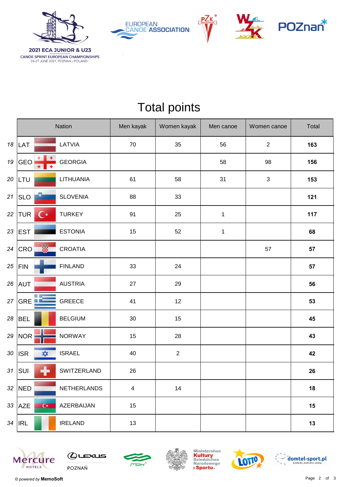

**CANOE SPRINT EUROPEAN CHAMPIONSHIPS**<br>24-27 JUNE 2021, POZNAN / POLAND







## Total points

|    |                                    | Nation          | Men kayak               | Women kayak | Men canoe   | Women canoe    | Total |
|----|------------------------------------|-----------------|-------------------------|-------------|-------------|----------------|-------|
| 18 | LAT                                | LATVIA          | 70                      | 35          | 56          | $\overline{2}$ | 163   |
| 19 | GEO<br>$\ddot{}$                   | <b>GEORGIA</b>  |                         |             | 58          | 98             | 156   |
| 20 | LTU                                | LITHUANIA       | 61                      | 58          | 31          | $\sqrt{3}$     | 153   |
| 21 | $\bullet$<br> SLO                  | <b>SLOVENIA</b> | 88                      | 33          |             |                | 121   |
| 22 | $\mathsf{C}^\star$<br><b>TUR</b>   | <b>TURKEY</b>   | 91                      | 25          | $\mathbf 1$ |                | 117   |
| 23 | <b>EST</b>                         | <b>ESTONIA</b>  | 15                      | 52          | $\mathbf 1$ |                | 68    |
| 24 | <u>W</u><br>CRO                    | CROATIA         |                         |             |             | 57             | 57    |
| 25 | FIN                                | <b>FINLAND</b>  | 33                      | 24          |             |                | 57    |
| 26 | <b>AUT</b>                         | <b>AUSTRIA</b>  | 27                      | 29          |             |                | 56    |
| 27 | M.<br>GRE <b>LE</b>                | GREECE          | 41                      | 12          |             |                | 53    |
| 28 | <b>BEL</b>                         | <b>BELGIUM</b>  | $30\,$                  | 15          |             |                | 45    |
| 29 | <b>NOR</b>                         | <b>NORWAY</b>   | 15                      | 28          |             |                | 43    |
| 30 | $\frac{1}{\sqrt{2}}$<br><b>ISR</b> | <b>ISRAEL</b>   | 40                      | $\sqrt{2}$  |             |                | 42    |
| 31 | ╋<br>SUI                           | SWITZERLAND     | 26                      |             |             |                | 26    |
|    | 32 NED                             | NETHERLANDS     | $\overline{\mathbf{4}}$ | 14          |             |                | 18    |
| 33 | $\overline{C^*}$<br><b>AZE</b>     | AZERBAIJAN      | 15                      |             |             |                | 15    |
|    | $34$   IRL                         | <b>IRELAND</b>  | 13                      |             |             |                | 13    |